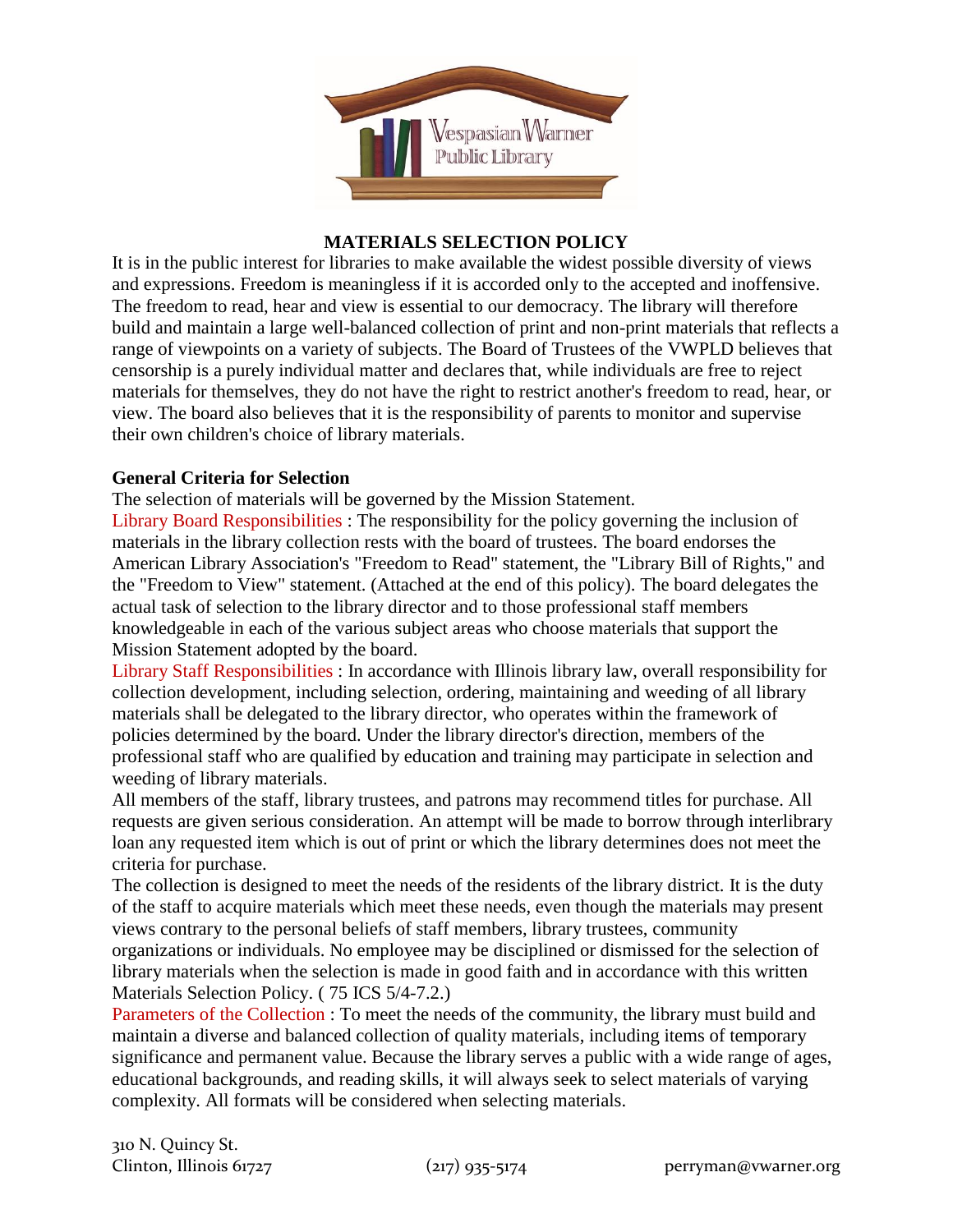

### **MATERIALS SELECTION POLICY**

It is in the public interest for libraries to make available the widest possible diversity of views and expressions. Freedom is meaningless if it is accorded only to the accepted and inoffensive. The freedom to read, hear and view is essential to our democracy. The library will therefore build and maintain a large well-balanced collection of print and non-print materials that reflects a range of viewpoints on a variety of subjects. The Board of Trustees of the VWPLD believes that censorship is a purely individual matter and declares that, while individuals are free to reject materials for themselves, they do not have the right to restrict another's freedom to read, hear, or view. The board also believes that it is the responsibility of parents to monitor and supervise their own children's choice of library materials.

### **General Criteria for Selection**

The selection of materials will be governed by the Mission Statement.

Library Board Responsibilities : The responsibility for the policy governing the inclusion of materials in the library collection rests with the board of trustees. The board endorses the American Library Association's "Freedom to Read" statement, the "Library Bill of Rights," and the "Freedom to View" statement. (Attached at the end of this policy). The board delegates the actual task of selection to the library director and to those professional staff members knowledgeable in each of the various subject areas who choose materials that support the Mission Statement adopted by the board.

Library Staff Responsibilities : In accordance with Illinois library law, overall responsibility for collection development, including selection, ordering, maintaining and weeding of all library materials shall be delegated to the library director, who operates within the framework of policies determined by the board. Under the library director's direction, members of the professional staff who are qualified by education and training may participate in selection and weeding of library materials.

All members of the staff, library trustees, and patrons may recommend titles for purchase. All requests are given serious consideration. An attempt will be made to borrow through interlibrary loan any requested item which is out of print or which the library determines does not meet the criteria for purchase.

The collection is designed to meet the needs of the residents of the library district. It is the duty of the staff to acquire materials which meet these needs, even though the materials may present views contrary to the personal beliefs of staff members, library trustees, community organizations or individuals. No employee may be disciplined or dismissed for the selection of library materials when the selection is made in good faith and in accordance with this written Materials Selection Policy. ( 75 ICS 5/4-7.2.)

Parameters of the Collection : To meet the needs of the community, the library must build and maintain a diverse and balanced collection of quality materials, including items of temporary significance and permanent value. Because the library serves a public with a wide range of ages, educational backgrounds, and reading skills, it will always seek to select materials of varying complexity. All formats will be considered when selecting materials.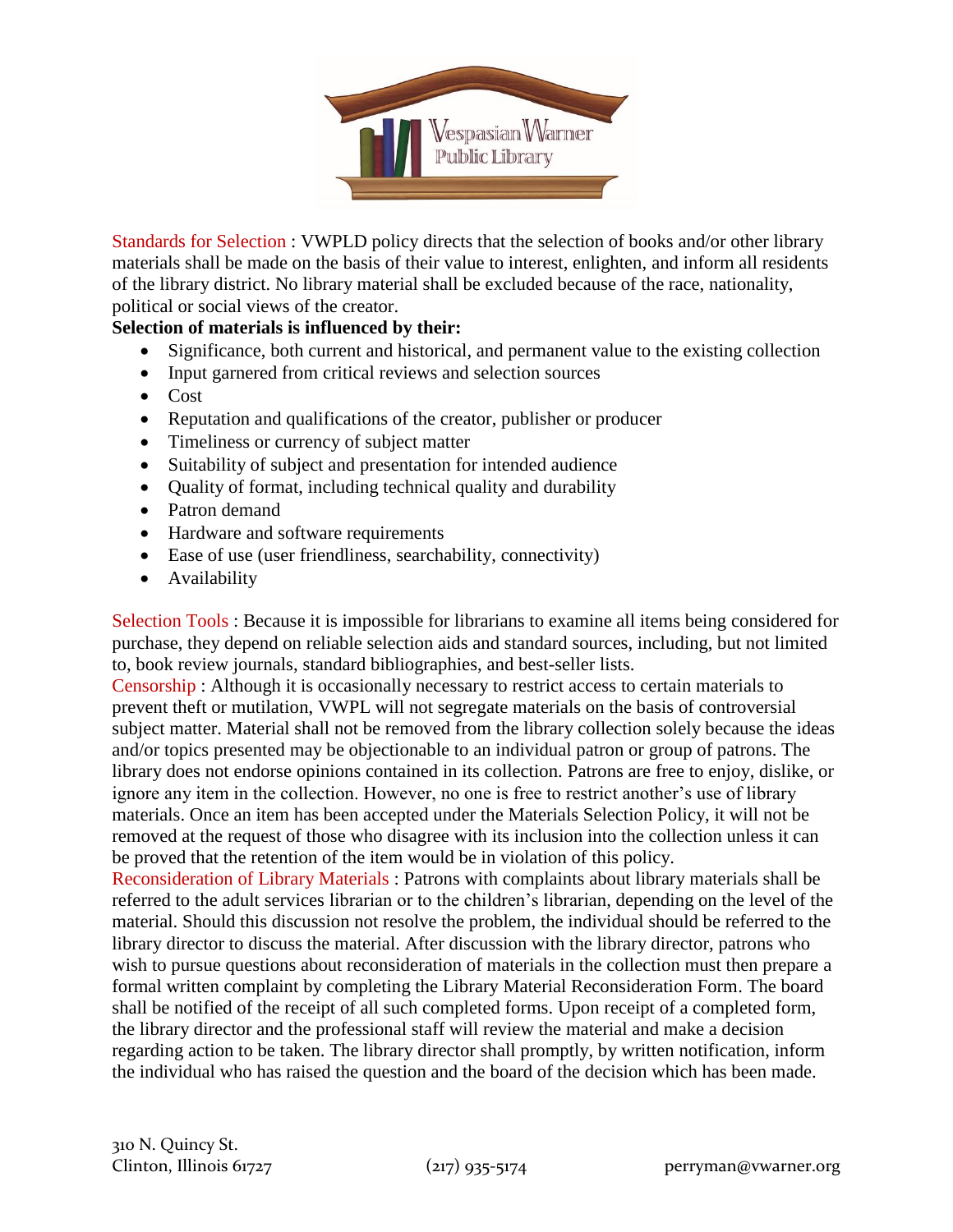

Standards for Selection : VWPLD policy directs that the selection of books and/or other library materials shall be made on the basis of their value to interest, enlighten, and inform all residents of the library district. No library material shall be excluded because of the race, nationality, political or social views of the creator.

### **Selection of materials is influenced by their:**

- Significance, both current and historical, and permanent value to the existing collection
- Input garnered from critical reviews and selection sources
- Cost
- Reputation and qualifications of the creator, publisher or producer
- Timeliness or currency of subject matter
- Suitability of subject and presentation for intended audience
- Quality of format, including technical quality and durability
- Patron demand
- Hardware and software requirements
- Ease of use (user friendliness, searchability, connectivity)
- Availability

Selection Tools : Because it is impossible for librarians to examine all items being considered for purchase, they depend on reliable selection aids and standard sources, including, but not limited to, book review journals, standard bibliographies, and best-seller lists.

Censorship : Although it is occasionally necessary to restrict access to certain materials to prevent theft or mutilation, VWPL will not segregate materials on the basis of controversial subject matter. Material shall not be removed from the library collection solely because the ideas and/or topics presented may be objectionable to an individual patron or group of patrons. The library does not endorse opinions contained in its collection. Patrons are free to enjoy, dislike, or ignore any item in the collection. However, no one is free to restrict another's use of library materials. Once an item has been accepted under the Materials Selection Policy, it will not be removed at the request of those who disagree with its inclusion into the collection unless it can be proved that the retention of the item would be in violation of this policy.

Reconsideration of Library Materials : Patrons with complaints about library materials shall be referred to the adult services librarian or to the children's librarian, depending on the level of the material. Should this discussion not resolve the problem, the individual should be referred to the library director to discuss the material. After discussion with the library director, patrons who wish to pursue questions about reconsideration of materials in the collection must then prepare a formal written complaint by completing the Library Material Reconsideration Form. The board shall be notified of the receipt of all such completed forms. Upon receipt of a completed form, the library director and the professional staff will review the material and make a decision regarding action to be taken. The library director shall promptly, by written notification, inform the individual who has raised the question and the board of the decision which has been made.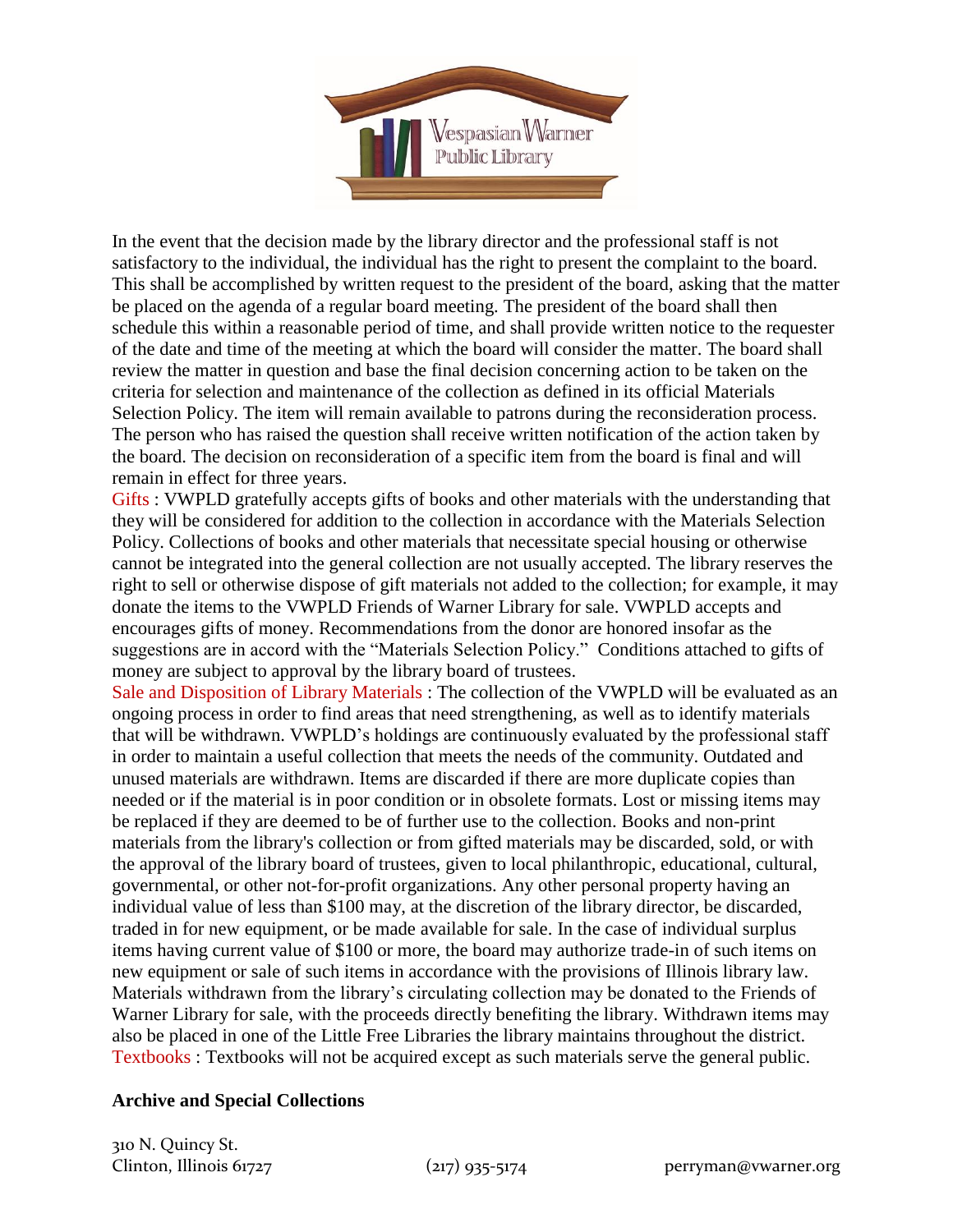

In the event that the decision made by the library director and the professional staff is not satisfactory to the individual, the individual has the right to present the complaint to the board. This shall be accomplished by written request to the president of the board, asking that the matter be placed on the agenda of a regular board meeting. The president of the board shall then schedule this within a reasonable period of time, and shall provide written notice to the requester of the date and time of the meeting at which the board will consider the matter. The board shall review the matter in question and base the final decision concerning action to be taken on the criteria for selection and maintenance of the collection as defined in its official Materials Selection Policy. The item will remain available to patrons during the reconsideration process. The person who has raised the question shall receive written notification of the action taken by the board. The decision on reconsideration of a specific item from the board is final and will remain in effect for three years.

Gifts : VWPLD gratefully accepts gifts of books and other materials with the understanding that they will be considered for addition to the collection in accordance with the Materials Selection Policy. Collections of books and other materials that necessitate special housing or otherwise cannot be integrated into the general collection are not usually accepted. The library reserves the right to sell or otherwise dispose of gift materials not added to the collection; for example, it may donate the items to the VWPLD Friends of Warner Library for sale. VWPLD accepts and encourages gifts of money. Recommendations from the donor are honored insofar as the suggestions are in accord with the "Materials Selection Policy." Conditions attached to gifts of money are subject to approval by the library board of trustees.

Sale and Disposition of Library Materials : The collection of the VWPLD will be evaluated as an ongoing process in order to find areas that need strengthening, as well as to identify materials that will be withdrawn. VWPLD's holdings are continuously evaluated by the professional staff in order to maintain a useful collection that meets the needs of the community. Outdated and unused materials are withdrawn. Items are discarded if there are more duplicate copies than needed or if the material is in poor condition or in obsolete formats. Lost or missing items may be replaced if they are deemed to be of further use to the collection. Books and non-print materials from the library's collection or from gifted materials may be discarded, sold, or with the approval of the library board of trustees, given to local philanthropic, educational, cultural, governmental, or other not-for-profit organizations. Any other personal property having an individual value of less than \$100 may, at the discretion of the library director, be discarded, traded in for new equipment, or be made available for sale. In the case of individual surplus items having current value of \$100 or more, the board may authorize trade-in of such items on new equipment or sale of such items in accordance with the provisions of Illinois library law. Materials withdrawn from the library's circulating collection may be donated to the Friends of Warner Library for sale, with the proceeds directly benefiting the library. Withdrawn items may also be placed in one of the Little Free Libraries the library maintains throughout the district. Textbooks : Textbooks will not be acquired except as such materials serve the general public.

#### **Archive and Special Collections**

310 N. Quincy St. Clinton, Illinois 61727  $(217)$  935-5174 perryman@vwarner.org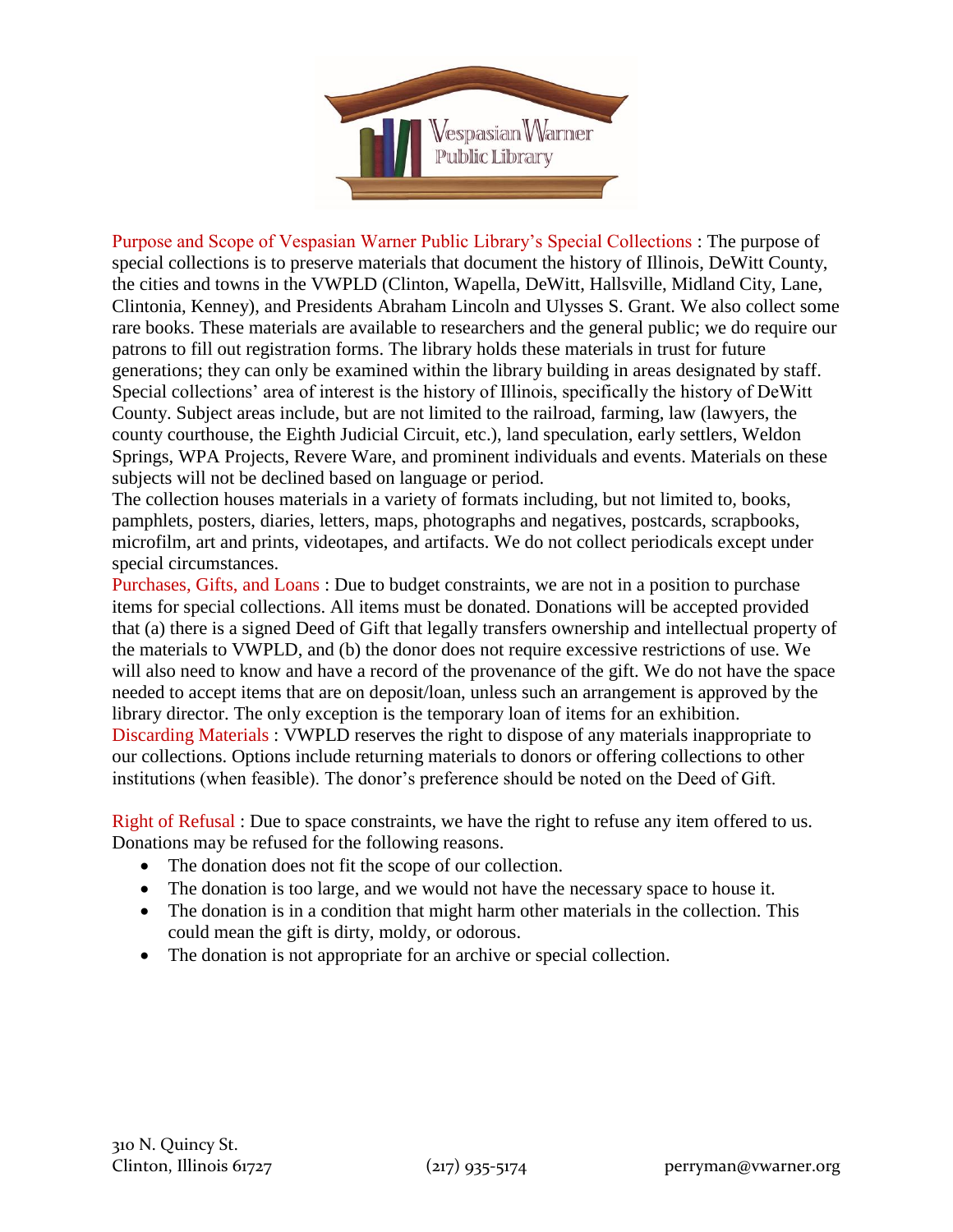

Purpose and Scope of Vespasian Warner Public Library's Special Collections : The purpose of special collections is to preserve materials that document the history of Illinois, DeWitt County, the cities and towns in the VWPLD (Clinton, Wapella, DeWitt, Hallsville, Midland City, Lane, Clintonia, Kenney), and Presidents Abraham Lincoln and Ulysses S. Grant. We also collect some rare books. These materials are available to researchers and the general public; we do require our patrons to fill out registration forms. The library holds these materials in trust for future generations; they can only be examined within the library building in areas designated by staff. Special collections' area of interest is the history of Illinois, specifically the history of DeWitt County. Subject areas include, but are not limited to the railroad, farming, law (lawyers, the county courthouse, the Eighth Judicial Circuit, etc.), land speculation, early settlers, Weldon Springs, WPA Projects, Revere Ware, and prominent individuals and events. Materials on these subjects will not be declined based on language or period.

The collection houses materials in a variety of formats including, but not limited to, books, pamphlets, posters, diaries, letters, maps, photographs and negatives, postcards, scrapbooks, microfilm, art and prints, videotapes, and artifacts. We do not collect periodicals except under special circumstances.

Purchases, Gifts, and Loans : Due to budget constraints, we are not in a position to purchase items for special collections. All items must be donated. Donations will be accepted provided that (a) there is a signed Deed of Gift that legally transfers ownership and intellectual property of the materials to VWPLD, and (b) the donor does not require excessive restrictions of use. We will also need to know and have a record of the provenance of the gift. We do not have the space needed to accept items that are on deposit/loan, unless such an arrangement is approved by the library director. The only exception is the temporary loan of items for an exhibition. Discarding Materials : VWPLD reserves the right to dispose of any materials inappropriate to our collections. Options include returning materials to donors or offering collections to other institutions (when feasible). The donor's preference should be noted on the Deed of Gift.

Right of Refusal : Due to space constraints, we have the right to refuse any item offered to us. Donations may be refused for the following reasons.

- The donation does not fit the scope of our collection.
- The donation is too large, and we would not have the necessary space to house it.
- The donation is in a condition that might harm other materials in the collection. This could mean the gift is dirty, moldy, or odorous.
- The donation is not appropriate for an archive or special collection.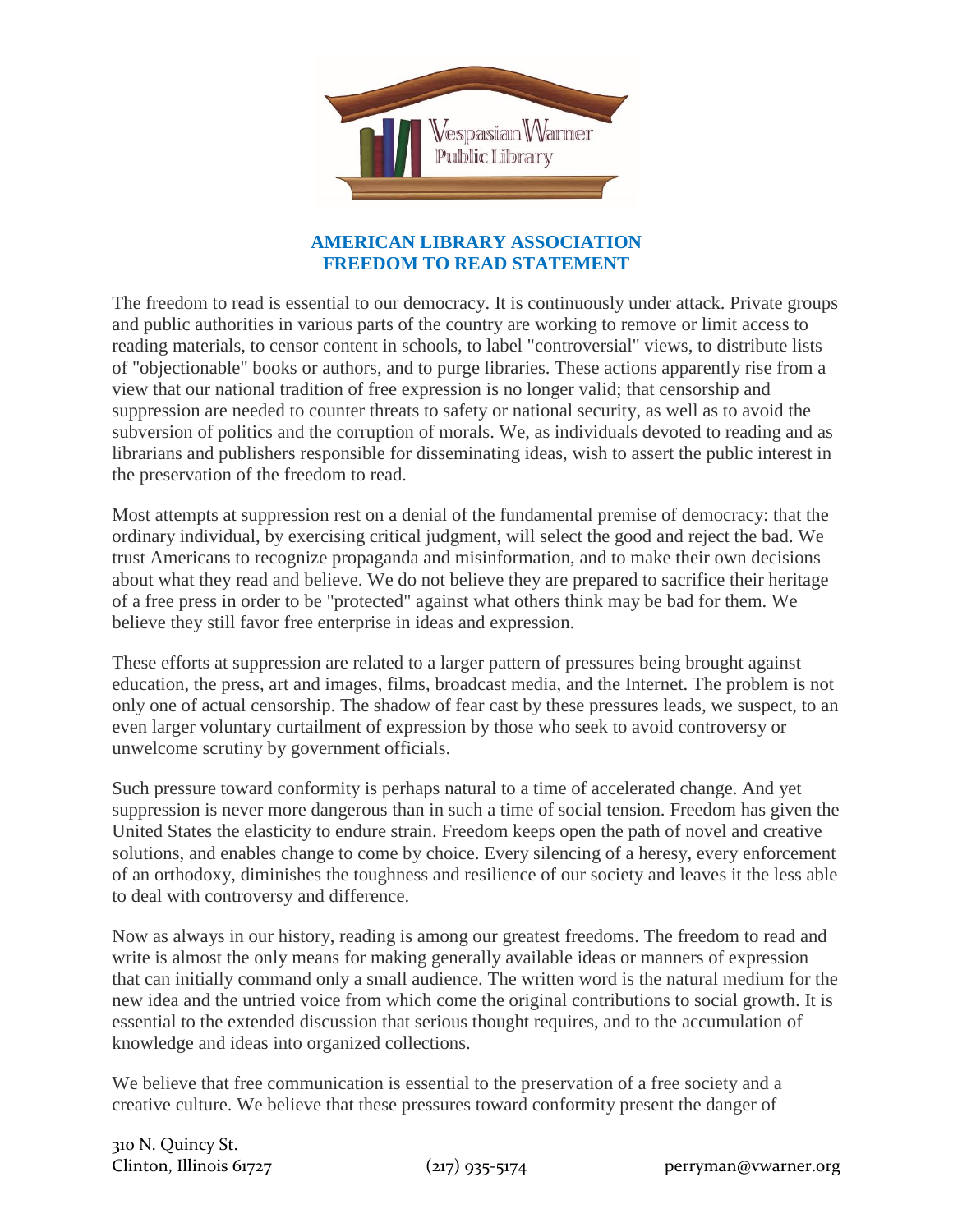

### **AMERICAN LIBRARY ASSOCIATION FREEDOM TO READ STATEMENT**

The freedom to read is essential to our democracy. It is continuously under attack. Private groups and public authorities in various parts of the country are working to remove or limit access to reading materials, to censor content in schools, to label "controversial" views, to distribute lists of "objectionable" books or authors, and to purge libraries. These actions apparently rise from a view that our national tradition of free expression is no longer valid; that censorship and suppression are needed to counter threats to safety or national security, as well as to avoid the subversion of politics and the corruption of morals. We, as individuals devoted to reading and as librarians and publishers responsible for disseminating ideas, wish to assert the public interest in the preservation of the freedom to read.

Most attempts at suppression rest on a denial of the fundamental premise of democracy: that the ordinary individual, by exercising critical judgment, will select the good and reject the bad. We trust Americans to recognize propaganda and misinformation, and to make their own decisions about what they read and believe. We do not believe they are prepared to sacrifice their heritage of a free press in order to be "protected" against what others think may be bad for them. We believe they still favor free enterprise in ideas and expression.

These efforts at suppression are related to a larger pattern of pressures being brought against education, the press, art and images, films, broadcast media, and the Internet. The problem is not only one of actual censorship. The shadow of fear cast by these pressures leads, we suspect, to an even larger voluntary curtailment of expression by those who seek to avoid controversy or unwelcome scrutiny by government officials.

Such pressure toward conformity is perhaps natural to a time of accelerated change. And yet suppression is never more dangerous than in such a time of social tension. Freedom has given the United States the elasticity to endure strain. Freedom keeps open the path of novel and creative solutions, and enables change to come by choice. Every silencing of a heresy, every enforcement of an orthodoxy, diminishes the toughness and resilience of our society and leaves it the less able to deal with controversy and difference.

Now as always in our history, reading is among our greatest freedoms. The freedom to read and write is almost the only means for making generally available ideas or manners of expression that can initially command only a small audience. The written word is the natural medium for the new idea and the untried voice from which come the original contributions to social growth. It is essential to the extended discussion that serious thought requires, and to the accumulation of knowledge and ideas into organized collections.

We believe that free communication is essential to the preservation of a free society and a creative culture. We believe that these pressures toward conformity present the danger of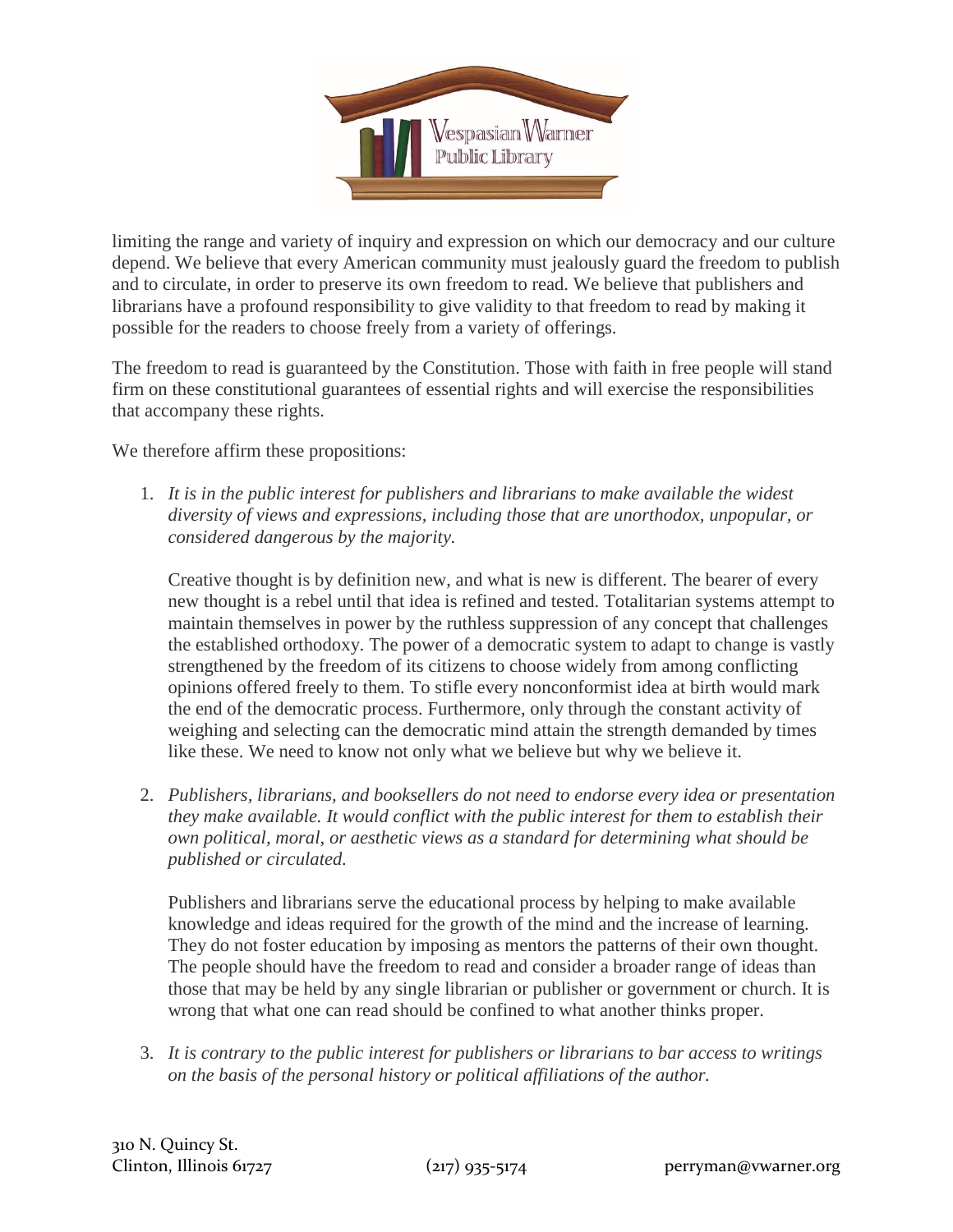

limiting the range and variety of inquiry and expression on which our democracy and our culture depend. We believe that every American community must jealously guard the freedom to publish and to circulate, in order to preserve its own freedom to read. We believe that publishers and librarians have a profound responsibility to give validity to that freedom to read by making it possible for the readers to choose freely from a variety of offerings.

The freedom to read is guaranteed by the Constitution. Those with faith in free people will stand firm on these constitutional guarantees of essential rights and will exercise the responsibilities that accompany these rights.

We therefore affirm these propositions:

1. *It is in the public interest for publishers and librarians to make available the widest diversity of views and expressions, including those that are unorthodox, unpopular, or considered dangerous by the majority.*

Creative thought is by definition new, and what is new is different. The bearer of every new thought is a rebel until that idea is refined and tested. Totalitarian systems attempt to maintain themselves in power by the ruthless suppression of any concept that challenges the established orthodoxy. The power of a democratic system to adapt to change is vastly strengthened by the freedom of its citizens to choose widely from among conflicting opinions offered freely to them. To stifle every nonconformist idea at birth would mark the end of the democratic process. Furthermore, only through the constant activity of weighing and selecting can the democratic mind attain the strength demanded by times like these. We need to know not only what we believe but why we believe it.

2. *Publishers, librarians, and booksellers do not need to endorse every idea or presentation they make available. It would conflict with the public interest for them to establish their own political, moral, or aesthetic views as a standard for determining what should be published or circulated.*

Publishers and librarians serve the educational process by helping to make available knowledge and ideas required for the growth of the mind and the increase of learning. They do not foster education by imposing as mentors the patterns of their own thought. The people should have the freedom to read and consider a broader range of ideas than those that may be held by any single librarian or publisher or government or church. It is wrong that what one can read should be confined to what another thinks proper.

3. *It is contrary to the public interest for publishers or librarians to bar access to writings on the basis of the personal history or political affiliations of the author.*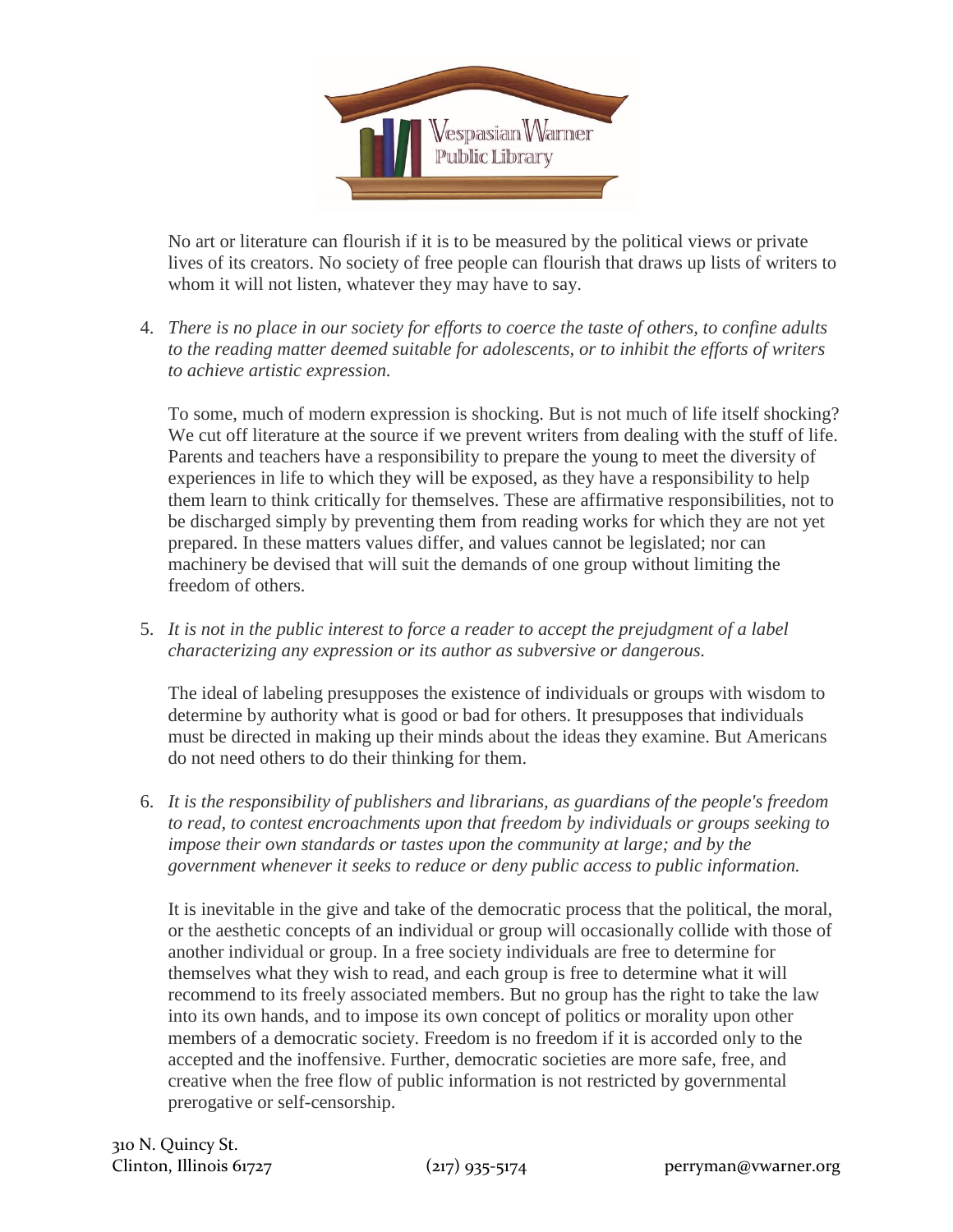

No art or literature can flourish if it is to be measured by the political views or private lives of its creators. No society of free people can flourish that draws up lists of writers to whom it will not listen, whatever they may have to say.

4. *There is no place in our society for efforts to coerce the taste of others, to confine adults to the reading matter deemed suitable for adolescents, or to inhibit the efforts of writers to achieve artistic expression.*

To some, much of modern expression is shocking. But is not much of life itself shocking? We cut off literature at the source if we prevent writers from dealing with the stuff of life. Parents and teachers have a responsibility to prepare the young to meet the diversity of experiences in life to which they will be exposed, as they have a responsibility to help them learn to think critically for themselves. These are affirmative responsibilities, not to be discharged simply by preventing them from reading works for which they are not yet prepared. In these matters values differ, and values cannot be legislated; nor can machinery be devised that will suit the demands of one group without limiting the freedom of others.

5. *It is not in the public interest to force a reader to accept the prejudgment of a label characterizing any expression or its author as subversive or dangerous.*

The ideal of labeling presupposes the existence of individuals or groups with wisdom to determine by authority what is good or bad for others. It presupposes that individuals must be directed in making up their minds about the ideas they examine. But Americans do not need others to do their thinking for them.

6. *It is the responsibility of publishers and librarians, as guardians of the people's freedom to read, to contest encroachments upon that freedom by individuals or groups seeking to impose their own standards or tastes upon the community at large; and by the government whenever it seeks to reduce or deny public access to public information.*

It is inevitable in the give and take of the democratic process that the political, the moral, or the aesthetic concepts of an individual or group will occasionally collide with those of another individual or group. In a free society individuals are free to determine for themselves what they wish to read, and each group is free to determine what it will recommend to its freely associated members. But no group has the right to take the law into its own hands, and to impose its own concept of politics or morality upon other members of a democratic society. Freedom is no freedom if it is accorded only to the accepted and the inoffensive. Further, democratic societies are more safe, free, and creative when the free flow of public information is not restricted by governmental prerogative or self-censorship.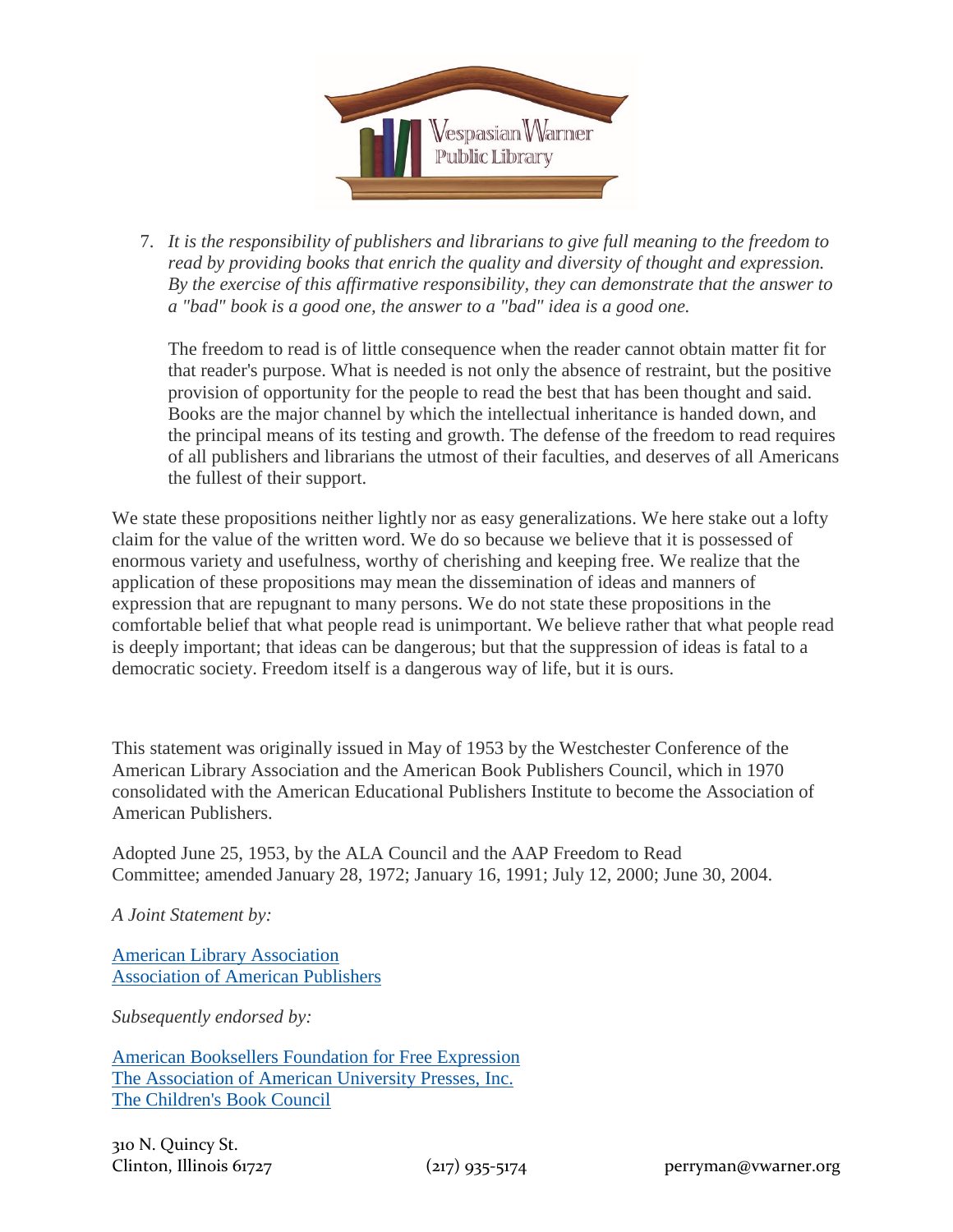

7. *It is the responsibility of publishers and librarians to give full meaning to the freedom to read by providing books that enrich the quality and diversity of thought and expression. By the exercise of this affirmative responsibility, they can demonstrate that the answer to a "bad" book is a good one, the answer to a "bad" idea is a good one.*

The freedom to read is of little consequence when the reader cannot obtain matter fit for that reader's purpose. What is needed is not only the absence of restraint, but the positive provision of opportunity for the people to read the best that has been thought and said. Books are the major channel by which the intellectual inheritance is handed down, and the principal means of its testing and growth. The defense of the freedom to read requires of all publishers and librarians the utmost of their faculties, and deserves of all Americans the fullest of their support.

We state these propositions neither lightly nor as easy generalizations. We here stake out a lofty claim for the value of the written word. We do so because we believe that it is possessed of enormous variety and usefulness, worthy of cherishing and keeping free. We realize that the application of these propositions may mean the dissemination of ideas and manners of expression that are repugnant to many persons. We do not state these propositions in the comfortable belief that what people read is unimportant. We believe rather that what people read is deeply important; that ideas can be dangerous; but that the suppression of ideas is fatal to a democratic society. Freedom itself is a dangerous way of life, but it is ours.

This statement was originally issued in May of 1953 by the Westchester Conference of the American Library Association and the American Book Publishers Council, which in 1970 consolidated with the American Educational Publishers Institute to become the Association of American Publishers.

Adopted June 25, 1953, by the ALA Council and the AAP Freedom to Read Committee; amended January 28, 1972; January 16, 1991; July 12, 2000; June 30, 2004.

*A Joint Statement by:*

[American Library Association](http://www.ala.org/) [Association of American Publishers](http://www.publishers.org/)

*Subsequently endorsed by:*

[American Booksellers Foundation for Free Expression](http://www.abffe.com/) [The Association of American University Presses, Inc.](http://www.aaupnet.org/) [The Children's Book Council](http://www.cbcbooks.org/)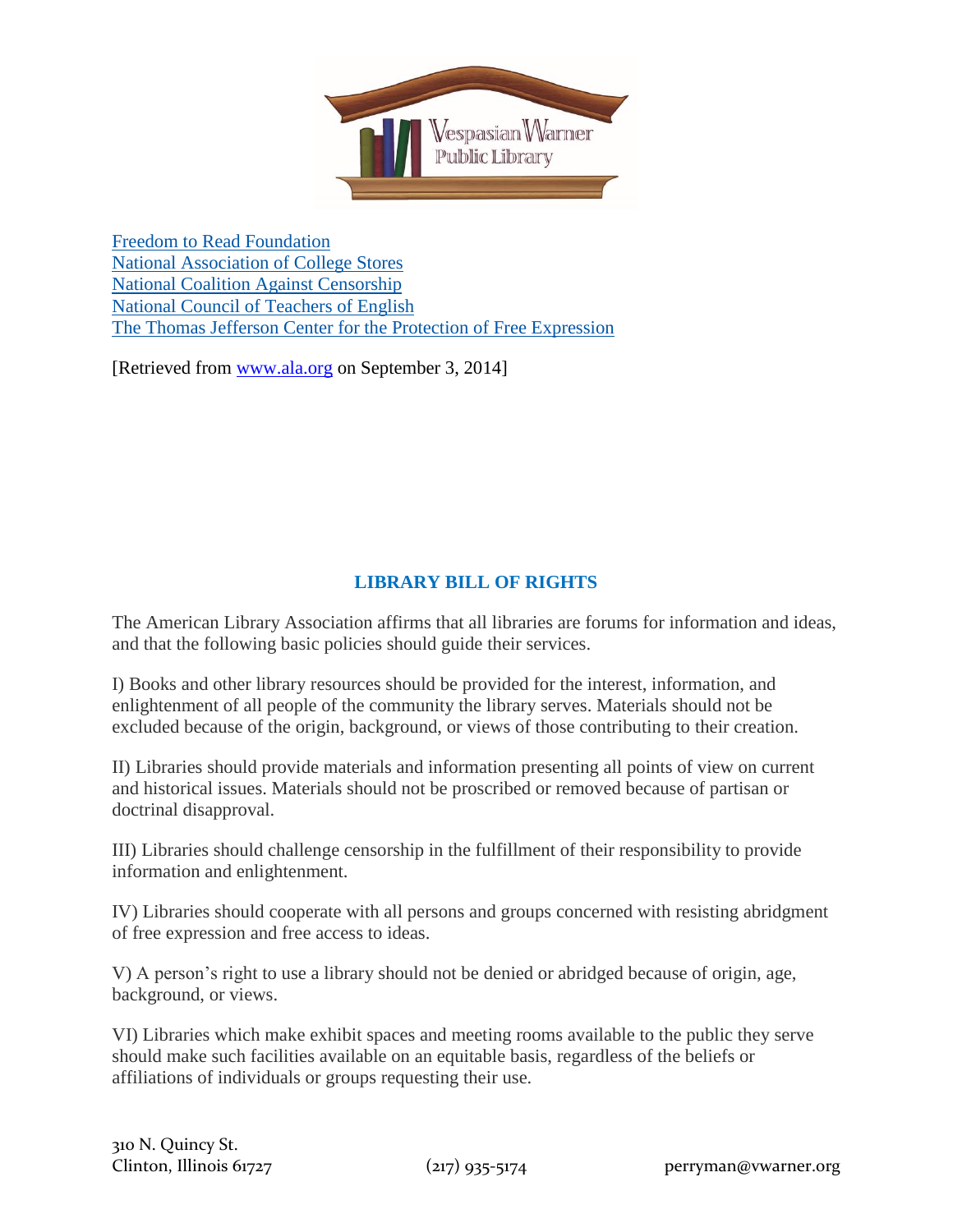

[Freedom to Read Foundation](http://www.ala.org/groups/affiliates/relatedgroups/freedomtoreadfoundation) [National Association of College Stores](http://www.nacs.org/) [National Coalition Against Censorship](http://www.ncac.org/) [National Council of Teachers of English](http://www.ncte.org/) [The Thomas Jefferson Center for the Protection of Free Expression](http://www.tjcenter.org/)

[Retrieved from [www.ala.org](http://www.ala.org/) on September 3, 2014]

# **LIBRARY BILL OF RIGHTS**

The American Library Association affirms that all libraries are forums for information and ideas, and that the following basic policies should guide their services.

I) Books and other library resources should be provided for the interest, information, and enlightenment of all people of the community the library serves. Materials should not be excluded because of the origin, background, or views of those contributing to their creation.

II) Libraries should provide materials and information presenting all points of view on current and historical issues. Materials should not be proscribed or removed because of partisan or doctrinal disapproval.

III) Libraries should challenge censorship in the fulfillment of their responsibility to provide information and enlightenment.

IV) Libraries should cooperate with all persons and groups concerned with resisting abridgment of free expression and free access to ideas.

V) A person's right to use a library should not be denied or abridged because of origin, age, background, or views.

VI) Libraries which make exhibit spaces and meeting rooms available to the public they serve should make such facilities available on an equitable basis, regardless of the beliefs or affiliations of individuals or groups requesting their use.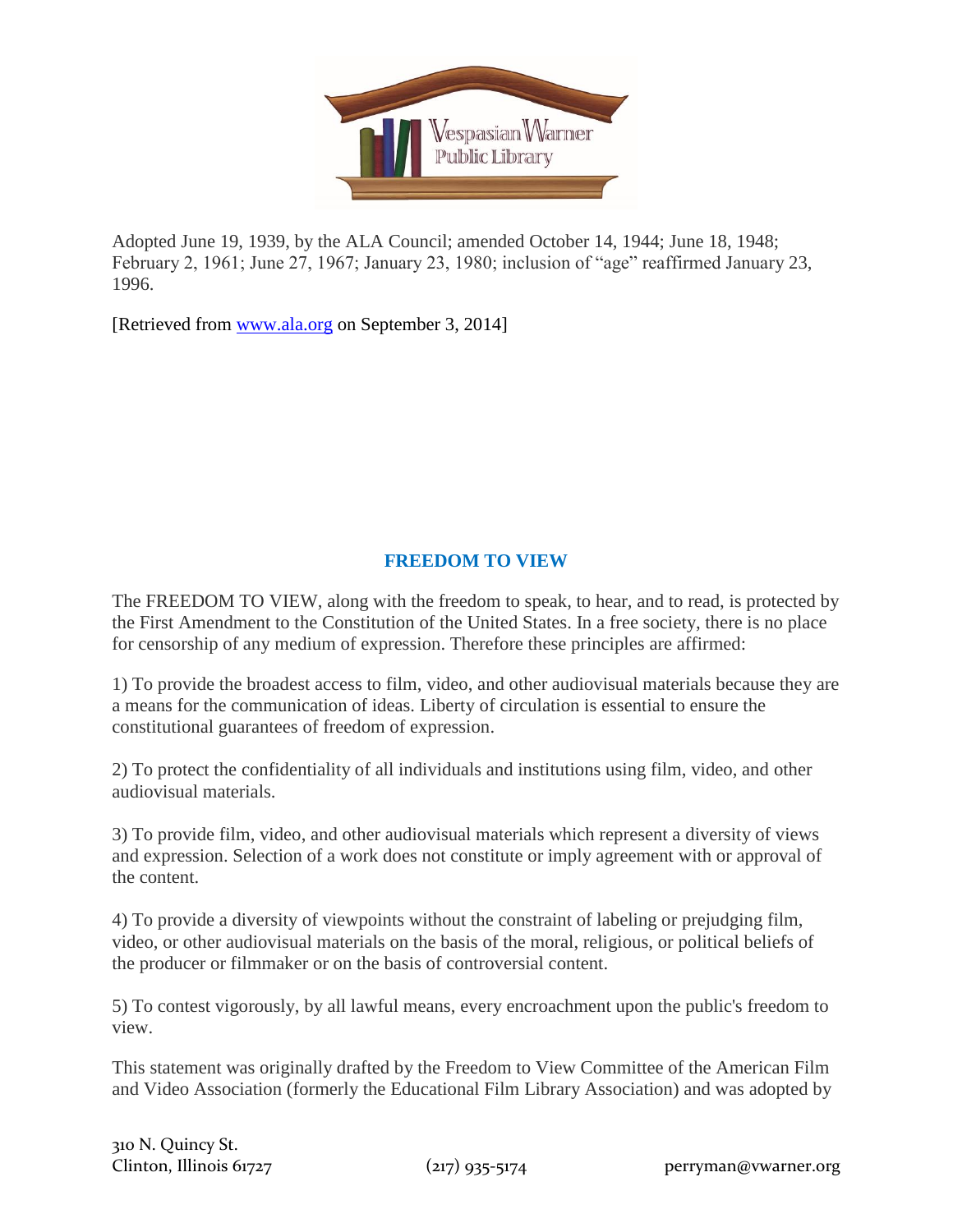

Adopted June 19, 1939, by the ALA Council; amended October 14, 1944; June 18, 1948; February 2, 1961; June 27, 1967; January 23, 1980; inclusion of "age" reaffirmed January 23, 1996.

[Retrieved from [www.ala.org](http://www.ala.org/) on September 3, 2014]

# **FREEDOM TO VIEW**

The FREEDOM TO VIEW, along with the freedom to speak, to hear, and to read, is protected by the First Amendment to the Constitution of the United States. In a free society, there is no place for censorship of any medium of expression. Therefore these principles are affirmed:

1) To provide the broadest access to film, video, and other audiovisual materials because they are a means for the communication of ideas. Liberty of circulation is essential to ensure the constitutional guarantees of freedom of expression.

2) To protect the confidentiality of all individuals and institutions using film, video, and other audiovisual materials.

3) To provide film, video, and other audiovisual materials which represent a diversity of views and expression. Selection of a work does not constitute or imply agreement with or approval of the content.

4) To provide a diversity of viewpoints without the constraint of labeling or prejudging film, video, or other audiovisual materials on the basis of the moral, religious, or political beliefs of the producer or filmmaker or on the basis of controversial content.

5) To contest vigorously, by all lawful means, every encroachment upon the public's freedom to view.

This statement was originally drafted by the Freedom to View Committee of the American Film and Video Association (formerly the Educational Film Library Association) and was adopted by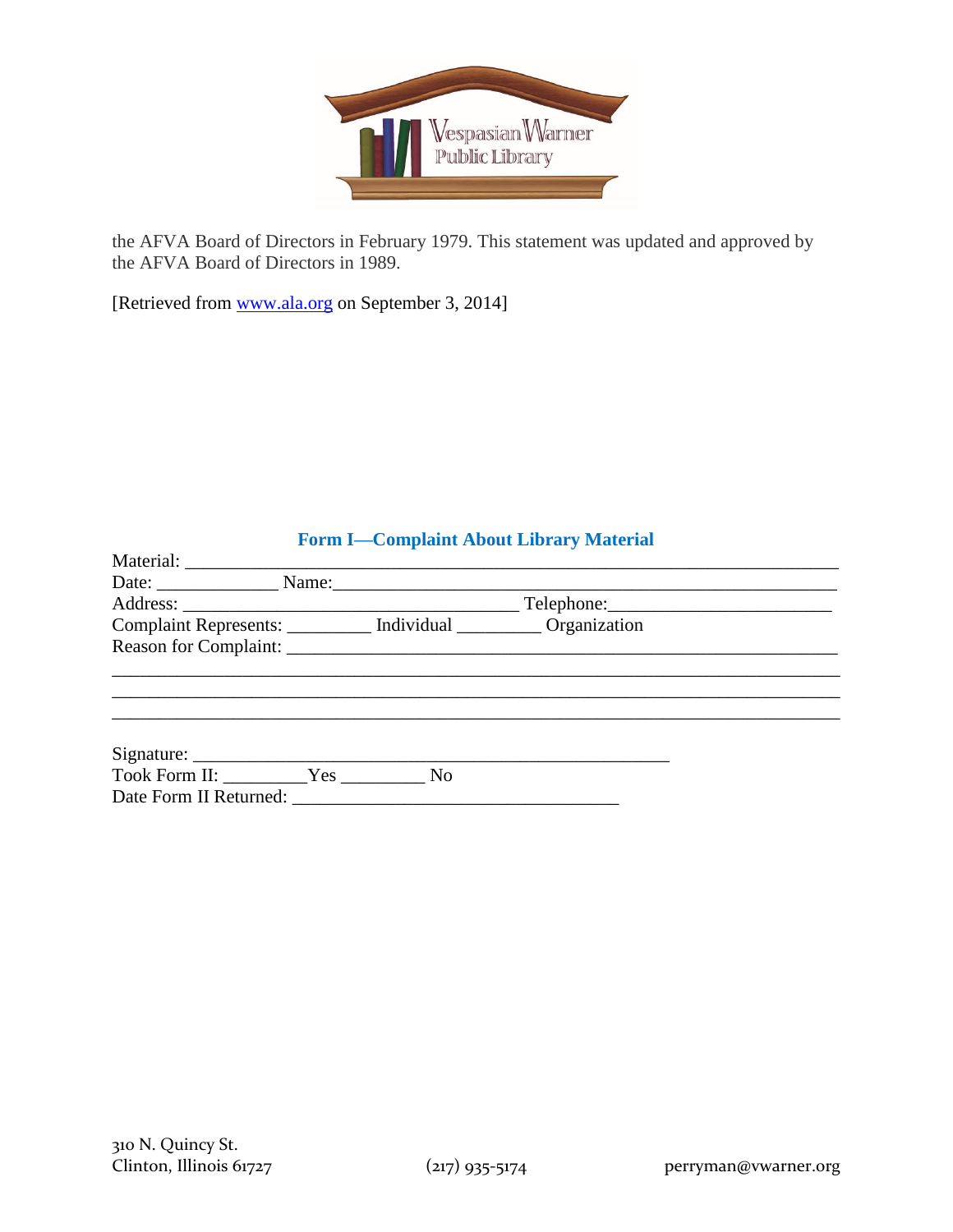

the AFVA Board of Directors in February 1979. This statement was updated and approved by the AFVA Board of Directors in 1989.

[Retrieved from [www.ala.org](http://www.ala.org/) on September 3, 2014]

## **Form I—Complaint About Library Material**

| Date: Name: Name:                                                 |  |  |  |
|-------------------------------------------------------------------|--|--|--|
|                                                                   |  |  |  |
| Complaint Represents: _________ Individual _________ Organization |  |  |  |
| Reason for Complaint:                                             |  |  |  |
|                                                                   |  |  |  |
|                                                                   |  |  |  |
|                                                                   |  |  |  |
|                                                                   |  |  |  |
|                                                                   |  |  |  |
|                                                                   |  |  |  |
| Date Form II Returned:                                            |  |  |  |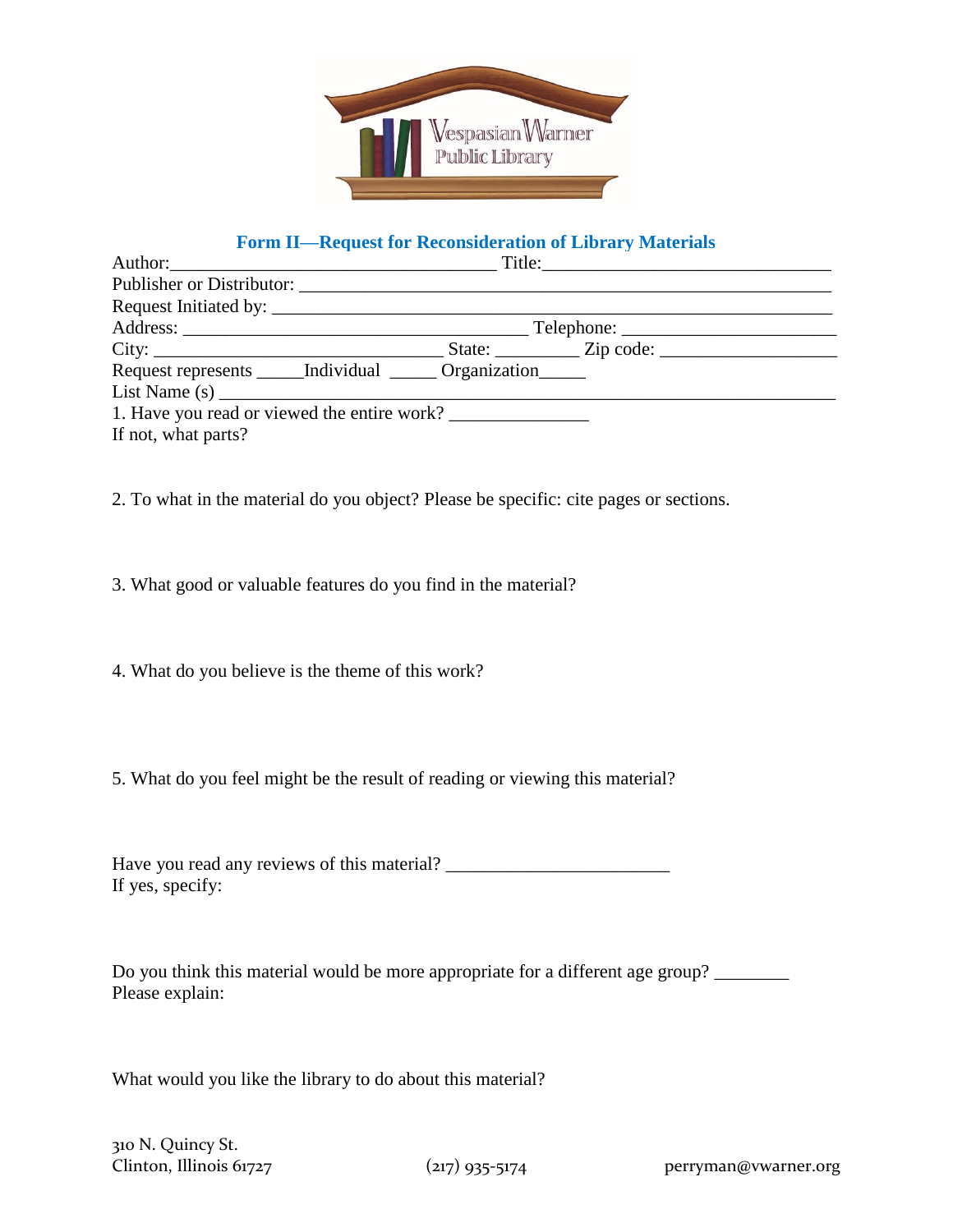

#### **Form II—Request for Reconsideration of Library Materials**

| Publisher or Distributor:                                     |  |  |  |
|---------------------------------------------------------------|--|--|--|
|                                                               |  |  |  |
|                                                               |  |  |  |
|                                                               |  |  |  |
| Request represents _____ Individual ______ Organization______ |  |  |  |
| List Name (s) $\overline{\phantom{a}}$                        |  |  |  |
| 1. Have you read or viewed the entire work?                   |  |  |  |
| If not, what parts?                                           |  |  |  |

2. To what in the material do you object? Please be specific: cite pages or sections.

3. What good or valuable features do you find in the material?

4. What do you believe is the theme of this work?

5. What do you feel might be the result of reading or viewing this material?

Have you read any reviews of this material? \_\_\_\_\_\_\_\_\_\_\_\_\_\_\_\_\_\_\_\_\_\_\_\_ If yes, specify:

Do you think this material would be more appropriate for a different age group? Please explain:

What would you like the library to do about this material?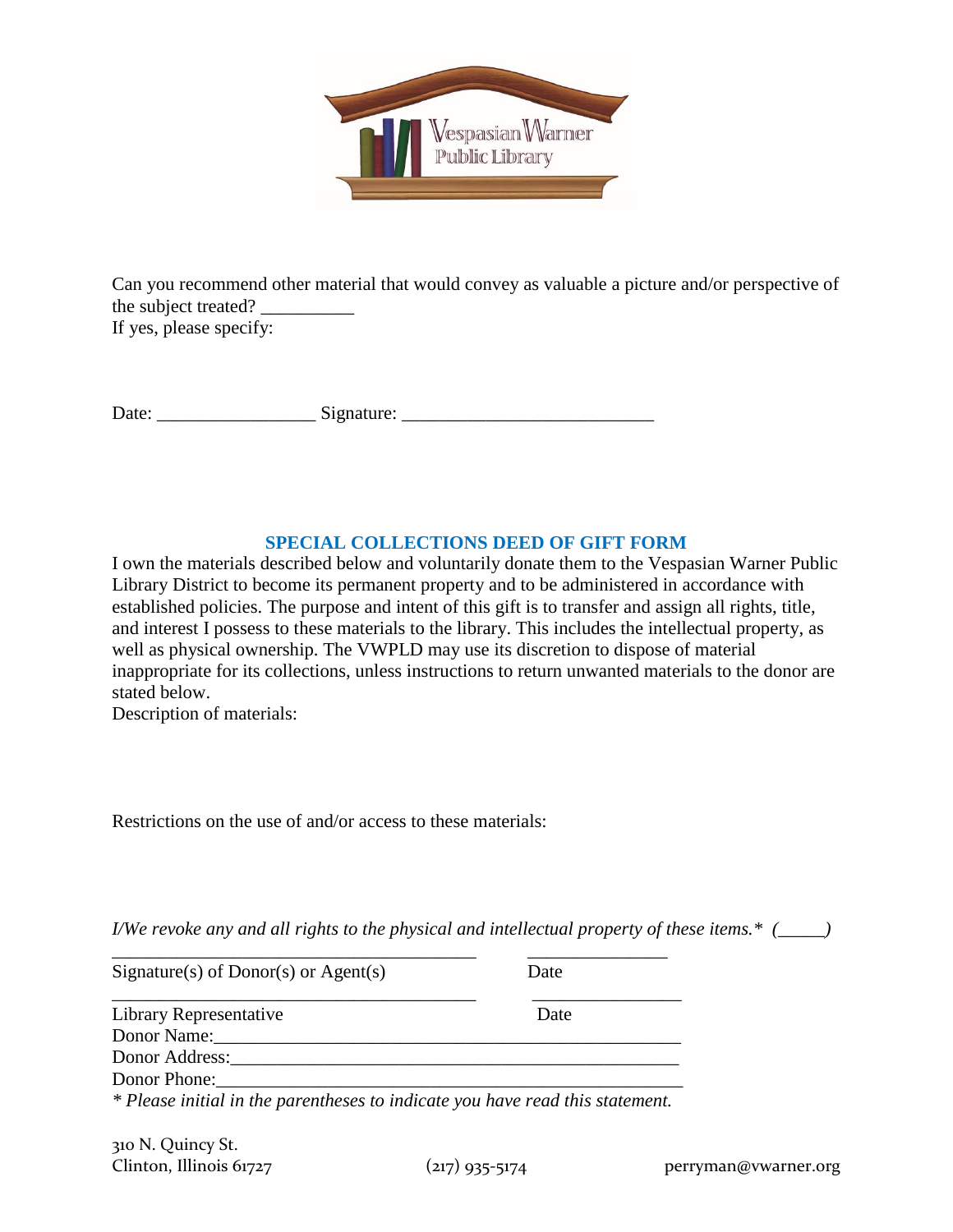

Can you recommend other material that would convey as valuable a picture and/or perspective of the subject treated? If yes, please specify:

Date: \_\_\_\_\_\_\_\_\_\_\_\_\_\_\_\_\_ Signature: \_\_\_\_\_\_\_\_\_\_\_\_\_\_\_\_\_\_\_\_\_\_\_\_\_\_\_

## **SPECIAL COLLECTIONS DEED OF GIFT FORM**

I own the materials described below and voluntarily donate them to the Vespasian Warner Public Library District to become its permanent property and to be administered in accordance with established policies. The purpose and intent of this gift is to transfer and assign all rights, title, and interest I possess to these materials to the library. This includes the intellectual property, as well as physical ownership. The VWPLD may use its discretion to dispose of material inappropriate for its collections, unless instructions to return unwanted materials to the donor are stated below.

Description of materials:

Restrictions on the use of and/or access to these materials:

|  | I/We revoke any and all rights to the physical and intellectual property of these items.* $($ |  |
|--|-----------------------------------------------------------------------------------------------|--|
|  |                                                                                               |  |

| Signature(s) of Donor(s) or $Agent(s)$                                                   | Date |  |
|------------------------------------------------------------------------------------------|------|--|
| Library Representative                                                                   | Date |  |
| Donor Name:                                                                              |      |  |
| Donor Address:                                                                           |      |  |
| Donor Phone:                                                                             |      |  |
| $\sim$ n1 $\sim$ 1, 1 $\sim$ 1 $\sim$ 1 $\sim$ 1 $\sim$ 1 $\sim$ 1.1, $\sim$ 1.1, $\sim$ |      |  |

\_\_\_\_\_\_\_\_\_\_\_\_\_\_\_\_\_\_\_\_\_\_\_\_\_\_\_\_\_\_\_\_\_\_\_\_\_\_\_ \_\_\_\_\_\_\_\_\_\_\_\_\_\_\_

*\* Please initial in the parentheses to indicate you have read this statement.*